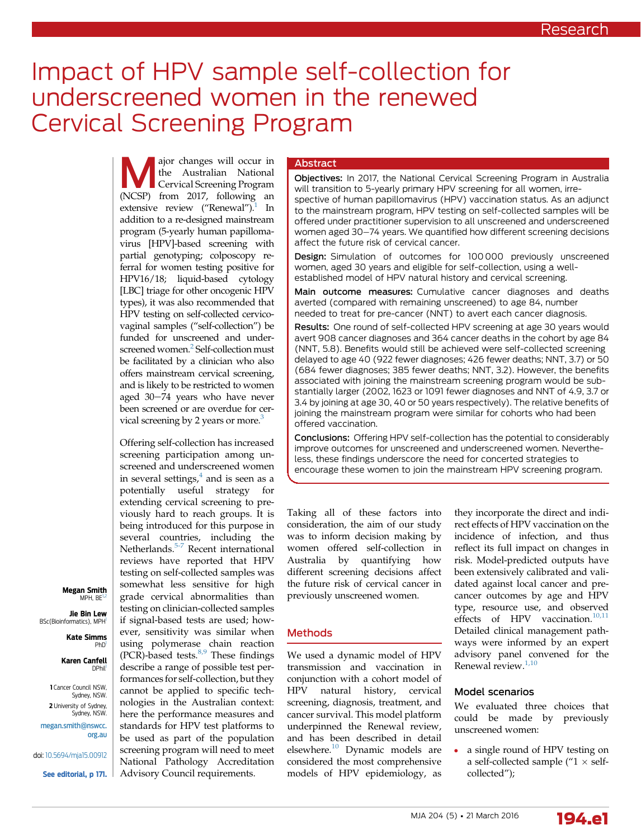# Impact of HPV sample self-collection for underscreened women in the renewed Cervical Screening Program

Major changes will occur in<br>the Australian National<br>Cervical Screening Program<br> $\frac{1017}{2}$  following and the Australian National Cervical Screening Program (NCSP) from 2017, following an extensive review ("Renewal"). $1$  In addition to a re-designed mainstream program (5-yearly human papillomavirus [HPV]-based screening with partial genotyping; colposcopy referral for women testing positive for HPV16/18; liquid-based cytology [LBC] triage for other oncogenic HPV types), it was also recommended that HPV testing on self-collected cervicovaginal samples ("self-collection") be funded for unscreened and under-screened women.<sup>[2](#page-7-0)</sup> Self-collection must be facilitated by a clinician who also offers mainstream cervical screening, and is likely to be restricted to women aged 30-74 years who have never been screened or are overdue for cervical screening by 2 years or more.<sup>3</sup>

Offering self-collection has increased screening participation among unscreened and underscreened women in several settings, $4$  and is seen as a potentially useful strategy for extending cervical screening to previously hard to reach groups. It is being introduced for this purpose in several countries, including the Netherlands.<sup>[5-7](#page-7-0)</sup> Recent international reviews have reported that HPV testing on self-collected samples was somewhat less sensitive for high grade cervical abnormalities than testing on clinician-collected samples if signal-based tests are used; however, sensitivity was similar when using polymerase chain reaction (PCR)-based tests. $8,9$  These findings describe a range of possible test performances for self-collection, but they cannot be applied to specific technologies in the Australian context: here the performance measures and standards for HPV test platforms to be used as part of the population screening program will need to meet National Pathology Accreditation Advisory Council requirements.

# Abstract

Objectives: In 2017, the National Cervical Screening Program in Australia will transition to 5-yearly primary HPV screening for all women, irrespective of human papillomavirus (HPV) vaccination status. As an adjunct to the mainstream program, HPV testing on self-collected samples will be offered under practitioner supervision to all unscreened and underscreened women aged 30–74 years. We quantified how different screening decisions affect the future risk of cervical cancer.

Design: Simulation of outcomes for 100 000 previously unscreened women, aged 30 years and eligible for self-collection, using a wellestablished model of HPV natural history and cervical screening.

Main outcome measures: Cumulative cancer diagnoses and deaths averted (compared with remaining unscreened) to age 84, number needed to treat for pre-cancer (NNT) to avert each cancer diagnosis.

Results: One round of self-collected HPV screening at age 30 years would avert 908 cancer diagnoses and 364 cancer deaths in the cohort by age 84 (NNT, 5.8). Benefits would still be achieved were self-collected screening delayed to age 40 (922 fewer diagnoses; 426 fewer deaths; NNT, 3.7) or 50 (684 fewer diagnoses; 385 fewer deaths; NNT, 3.2). However, the benefits associated with joining the mainstream screening program would be substantially larger (2002, 1623 or 1091 fewer diagnoses and NNT of 4.9, 3.7 or 3.4 by joining at age 30, 40 or 50 years respectively). The relative benefits of joining the mainstream program were similar for cohorts who had been offered vaccination.

Conclusions: Offering HPV self-collection has the potential to considerably improve outcomes for unscreened and underscreened women. Nevertheless, these findings underscore the need for concerted strategies to encourage these women to join the mainstream HPV screening program.

Taking all of these factors into consideration, the aim of our study was to inform decision making by women offered self-collection in Australia by quantifying how different screening decisions affect the future risk of cervical cancer in previously unscreened women.

# **Methods**

We used a dynamic model of HPV transmission and vaccination in conjunction with a cohort model of HPV natural history, cervical screening, diagnosis, treatment, and cancer survival. This model platform underpinned the Renewal review, and has been described in detail elsewhere.<sup>[10](#page-7-0)</sup> Dynamic models are considered the most comprehensive models of HPV epidemiology, as

they incorporate the direct and indirect effects of HPV vaccination on the incidence of infection, and thus reflect its full impact on changes in risk. Model-predicted outputs have been extensively calibrated and validated against local cancer and precancer outcomes by age and HPV type, resource use, and observed effects of HPV vaccination. $10,11$ Detailed clinical management pathways were informed by an expert advisory panel convened for the Renewal review.<sup>[1,10](#page-7-0)</sup>

# Model scenarios

We evaluated three choices that could be made by previously unscreened women:

 a single round of HPV testing on a self-collected sample ( $1 \times$  selfcollected");



#### Megan Smith  $MPH$ ,  $BF$ <sup>1</sup>

Jie Bin Lew BSc(Bioinformatics), MPH

> Kate Simms **PhD**

#### Karen Canfell DPhil<sup>1</sup>

1 Cancer Council NSW, Sydney, NSW. 2 University of Sydney Sydney, NSW.

[megan.smith@nswcc.](mailto:megan.smith@nswcc.org.au) [org.au](mailto:megan.smith@nswcc.org.au)

doi: [10.5694/mja15.00912](http://dx.doi.org/10.5694/mja15.00912)

See editorial, p 171.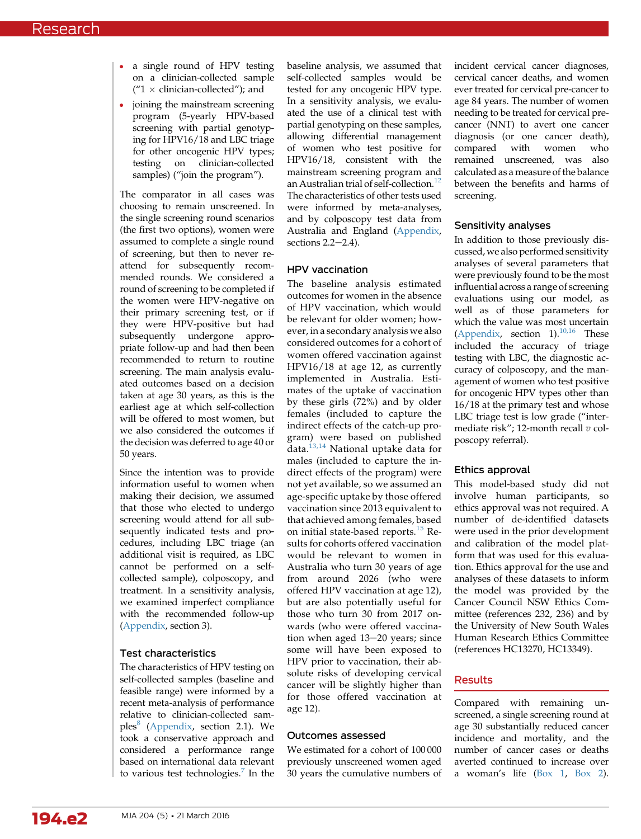- a single round of HPV testing on a clinician-collected sample  $("1 \times$  clinician-collected"); and
- joining the mainstream screening program (5-yearly HPV-based screening with partial genotyping for HPV16/18 and LBC triage for other oncogenic HPV types; testing on clinician-collected samples) ("join the program").

The comparator in all cases was choosing to remain unscreened. In the single screening round scenarios (the first two options), women were assumed to complete a single round of screening, but then to never reattend for subsequently recommended rounds. We considered a round of screening to be completed if the women were HPV-negative on their primary screening test, or if they were HPV-positive but had subsequently undergone appropriate follow-up and had then been recommended to return to routine screening. The main analysis evaluated outcomes based on a decision taken at age 30 years, as this is the earliest age at which self-collection will be offered to most women, but we also considered the outcomes if the decision was deferred to age 40 or 50 years.

Since the intention was to provide information useful to women when making their decision, we assumed that those who elected to undergo screening would attend for all subsequently indicated tests and procedures, including LBC triage (an additional visit is required, as LBC cannot be performed on a selfcollected sample), colposcopy, and treatment. In a sensitivity analysis, we examined imperfect compliance with the recommended follow-up [\(Appendix,](https://www.mja.com.au/sites/default/files/issues/204_05/10.5694mja15.00912_Appendix.pdf) section 3).

## Test characteristics

The characteristics of HPV testing on self-collected samples (baseline and feasible range) were informed by a recent meta-analysis of performance relative to clinician-collected samples $\delta$  [\(Appendix,](https://www.mja.com.au/sites/default/files/issues/204_05/10.5694mja15.00912_Appendix.pdf) section 2.1). We took a conservative approach and considered a performance range based on international data relevant to various test technologies. $<sup>7</sup>$  $<sup>7</sup>$  $<sup>7</sup>$  In the</sup>

baseline analysis, we assumed that self-collected samples would be tested for any oncogenic HPV type. In a sensitivity analysis, we evaluated the use of a clinical test with partial genotyping on these samples, allowing differential management of women who test positive for HPV16/18, consistent with the mainstream screening program and an Australian trial of self-collection.<sup>[12](#page-7-0)</sup> The characteristics of other tests used were informed by meta-analyses, and by colposcopy test data from Australia and England ([Appendix,](https://www.mja.com.au/sites/default/files/issues/204_05/10.5694mja15.00912_Appendix.pdf) sections  $2.2-2.4$ ).

#### HPV vaccination

The baseline analysis estimated outcomes for women in the absence of HPV vaccination, which would be relevant for older women; however, in a secondary analysis we also considered outcomes for a cohort of women offered vaccination against HPV16/18 at age 12, as currently implemented in Australia. Estimates of the uptake of vaccination by these girls (72%) and by older females (included to capture the indirect effects of the catch-up program) were based on published data.[13,14](#page-7-0) National uptake data for males (included to capture the indirect effects of the program) were not yet available, so we assumed an age-specific uptake by those offered vaccination since 2013 equivalent to that achieved among females, based on initial state-based reports.[15](#page-7-0) Results for cohorts offered vaccination would be relevant to women in Australia who turn 30 years of age from around 2026 (who were offered HPV vaccination at age 12), but are also potentially useful for those who turn 30 from 2017 onwards (who were offered vaccination when aged  $13-20$  years; since some will have been exposed to HPV prior to vaccination, their absolute risks of developing cervical cancer will be slightly higher than for those offered vaccination at age 12).

#### Outcomes assessed

We estimated for a cohort of 100 000 previously unscreened women aged 30 years the cumulative numbers of incident cervical cancer diagnoses, cervical cancer deaths, and women ever treated for cervical pre-cancer to age 84 years. The number of women needing to be treated for cervical precancer (NNT) to avert one cancer diagnosis (or one cancer death),<br>compared with women who with women who remained unscreened, was also calculated as a measure of the balance between the benefits and harms of screening.

#### Sensitivity analyses

In addition to those previously discussed, we also performed sensitivity analyses of several parameters that were previously found to be the most influential across a range of screening evaluations using our model, as well as of those parameters for which the value was most uncertain [\(Appendix](https://www.mja.com.au/sites/default/files/issues/204_05/10.5694mja15.00912_Appendix.pdf), section  $1$ ).<sup>[10,16](#page-7-0)</sup> These included the accuracy of triage testing with LBC, the diagnostic accuracy of colposcopy, and the management of women who test positive for oncogenic HPV types other than 16/18 at the primary test and whose LBC triage test is low grade ("intermediate risk"; 12-month recall  $v$  colposcopy referral).

## Ethics approval

This model-based study did not involve human participants, so ethics approval was not required. A number of de-identified datasets were used in the prior development and calibration of the model platform that was used for this evaluation. Ethics approval for the use and analyses of these datasets to inform the model was provided by the Cancer Council NSW Ethics Committee (references 232, 236) and by the University of New South Wales Human Research Ethics Committee (references HC13270, HC13349).

# Results

Compared with remaining unscreened, a single screening round at age 30 substantially reduced cancer incidence and mortality, and the number of cancer cases or deaths averted continued to increase over a woman's life ([Box 1,](#page-2-0) [Box 2](#page-3-0)).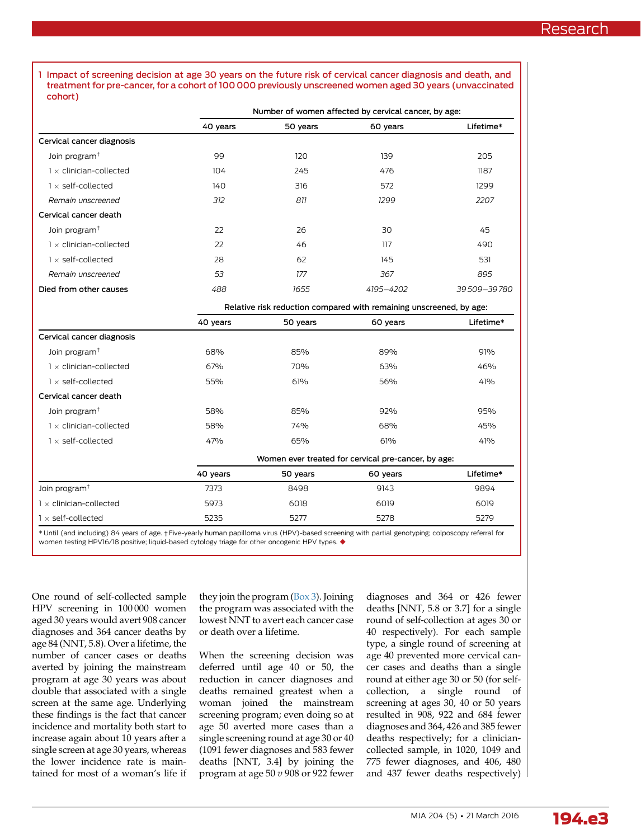<span id="page-2-0"></span>1 Impact of screening decision at age 30 years on the future risk of cervical cancer diagnosis and death, and treatment for pre-cancer, for a cohort of 100 000 previously unscreened women aged 30 years (unvaccinated cohort)

|                                | Number of women affected by cervical cancer, by age:                |          |           |             |  |
|--------------------------------|---------------------------------------------------------------------|----------|-----------|-------------|--|
|                                | 40 years                                                            | 50 years | 60 years  | Lifetime*   |  |
| Cervical cancer diagnosis      |                                                                     |          |           |             |  |
| Join program <sup>+</sup>      | 99                                                                  | 120      | 139       | 205         |  |
| $1 \times$ clinician-collected | 104                                                                 | 245      | 476       | 1187        |  |
| $1 \times$ self-collected      | 140                                                                 | 316      | 572       | 1299        |  |
| Remain unscreened              | 312                                                                 | 811      | 1299      | 2207        |  |
| Cervical cancer death          |                                                                     |          |           |             |  |
| Join program <sup>t</sup>      | 22                                                                  | 26       | 30        | 45          |  |
| $1 \times$ clinician-collected | 22                                                                  | 46       | 117       | 490         |  |
| $1 \times$ self-collected      | 28                                                                  | 62       | 145       | 531         |  |
| Remain unscreened              | 53                                                                  | 177      | 367       | 895         |  |
| Died from other causes         | 488                                                                 | 1655     | 4195-4202 | 39509-39780 |  |
|                                | Relative risk reduction compared with remaining unscreened, by age: |          |           |             |  |

|                                | now readerion compared with remaining onocreancy, by age: |          |          |           |  |
|--------------------------------|-----------------------------------------------------------|----------|----------|-----------|--|
|                                | 40 years                                                  | 50 years | 60 years | Lifetime* |  |
| Cervical cancer diagnosis      |                                                           |          |          |           |  |
| Join program <sup>t</sup>      | 68%                                                       | 85%      | 89%      | 91%       |  |
| $1 \times$ clinician-collected | 67%                                                       | 70%      | 63%      | 46%       |  |
| $1 \times$ self-collected      | 55%                                                       | 61%      | 56%      | 41%       |  |
| Cervical cancer death          |                                                           |          |          |           |  |
| Join program <sup>†</sup>      | 58%                                                       | 85%      | 92%      | 95%       |  |
| $\times$ clinician-collected   | 58%                                                       | 74%      | 68%      | 45%       |  |
| $\times$ self-collected        | 47%                                                       | 65%      | 61%      | 41%       |  |
|                                | Women ever treated for cervical pre-cancer, by age:       |          |          |           |  |
|                                | 40 years                                                  | 50 years | 60 years | Lifetime* |  |
| Join program <sup>t</sup>      | 7373                                                      | 8498     | 9143     | 9894      |  |
| $1 \times$ clinician-collected | 5973                                                      | 6018     | 6019     | 6019      |  |
| $1 \times$ self-collected      | 5235                                                      | 5277     | 5278     | 5279      |  |

\* Until (and including) 84 years of age. † Five-yearly human papilloma virus (HPV)-based screening with partial genotyping; colposcopy referral for women testing HPV16/18 positive; liquid-based cytology triage for other oncogenic HPV types.

One round of self-collected sample HPV screening in 100 000 women aged 30 years would avert 908 cancer diagnoses and 364 cancer deaths by age 84 (NNT, 5.8). Over a lifetime, the number of cancer cases or deaths averted by joining the mainstream program at age 30 years was about double that associated with a single screen at the same age. Underlying these findings is the fact that cancer incidence and mortality both start to increase again about 10 years after a single screen at age 30 years, whereas the lower incidence rate is maintained for most of a woman's life if

they join the program ([Box 3\)](#page-4-0). Joining the program was associated with the lowest NNT to avert each cancer case or death over a lifetime.

When the screening decision was deferred until age 40 or 50, the reduction in cancer diagnoses and deaths remained greatest when a woman joined the mainstream screening program; even doing so at age 50 averted more cases than a single screening round at age 30 or 40 (1091 fewer diagnoses and 583 fewer deaths [NNT, 3.4] by joining the program at age  $50 v 908$  or 922 fewer

diagnoses and 364 or 426 fewer deaths [NNT, 5.8 or 3.7] for a single round of self-collection at ages 30 or 40 respectively). For each sample type, a single round of screening at age 40 prevented more cervical cancer cases and deaths than a single round at either age 30 or 50 (for selfcollection, a single round of screening at ages 30, 40 or 50 years resulted in 908, 922 and 684 fewer diagnoses and 364, 426 and 385 fewer deaths respectively; for a cliniciancollected sample, in 1020, 1049 and 775 fewer diagnoses, and 406, 480 and 437 fewer deaths respectively)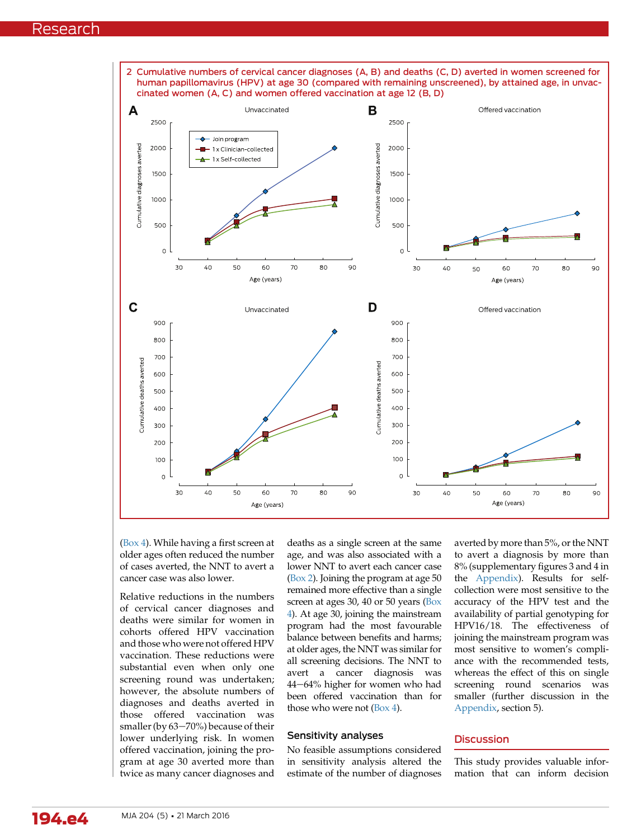<span id="page-3-0"></span>

[\(Box 4](#page-5-0)). While having a first screen at older ages often reduced the number of cases averted, the NNT to avert a cancer case was also lower.

Relative reductions in the numbers of cervical cancer diagnoses and deaths were similar for women in cohorts offered HPV vaccination and those who were not offered HPV vaccination. These reductions were substantial even when only one screening round was undertaken; however, the absolute numbers of diagnoses and deaths averted in those offered vaccination was smaller (by  $63-70%$ ) because of their lower underlying risk. In women offered vaccination, joining the program at age 30 averted more than twice as many cancer diagnoses and

deaths as a single screen at the same age, and was also associated with a lower NNT to avert each cancer case (Box 2). Joining the program at age 50 remained more effective than a single screen at ages 30, 40 or 50 years ([Box](#page-5-0) [4](#page-5-0)). At age 30, joining the mainstream program had the most favourable balance between benefits and harms; at older ages, the NNT was similar for all screening decisions. The NNT to avert a cancer diagnosis was 44-64% higher for women who had been offered vaccination than for those who were not [\(Box 4\)](#page-5-0).

# Sensitivity analyses

No feasible assumptions considered in sensitivity analysis altered the estimate of the number of diagnoses averted by more than 5%, or the NNT to avert a diagnosis by more than 8% (supplementary figures 3 and 4 in the [Appendix](https://www.mja.com.au/sites/default/files/issues/204_05/10.5694mja15.00912_Appendix.pdf)). Results for selfcollection were most sensitive to the accuracy of the HPV test and the availability of partial genotyping for HPV16/18. The effectiveness of joining the mainstream program was most sensitive to women's compliance with the recommended tests, whereas the effect of this on single screening round scenarios was smaller (further discussion in the [Appendix,](https://www.mja.com.au/sites/default/files/issues/204_05/10.5694mja15.00912_Appendix.pdf) section 5).

# **Discussion**

This study provides valuable information that can inform decision

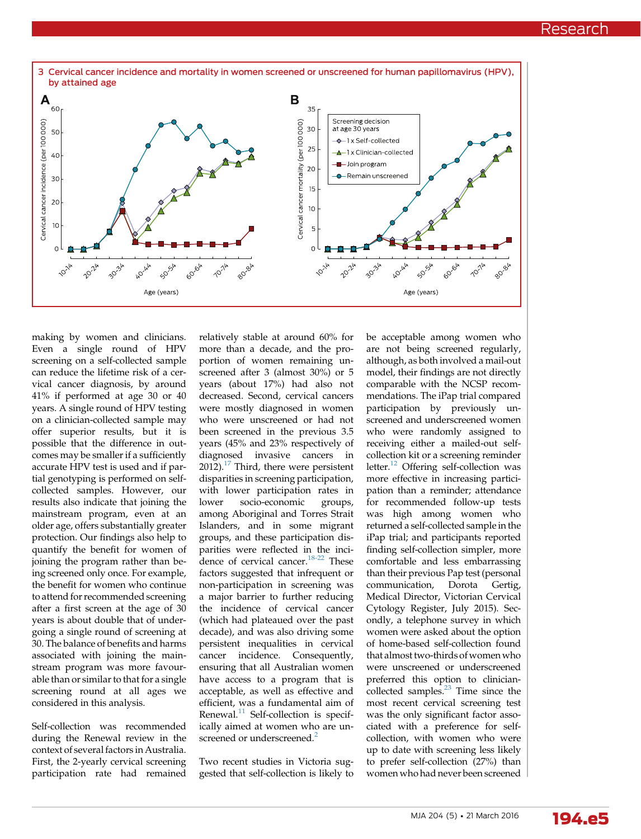<span id="page-4-0"></span>

making by women and clinicians. Even a single round of HPV screening on a self-collected sample can reduce the lifetime risk of a cervical cancer diagnosis, by around 41% if performed at age 30 or 40 years. A single round of HPV testing on a clinician-collected sample may offer superior results, but it is possible that the difference in outcomes may be smaller if a sufficiently accurate HPV test is used and if partial genotyping is performed on selfcollected samples. However, our results also indicate that joining the mainstream program, even at an older age, offers substantially greater protection. Our findings also help to quantify the benefit for women of joining the program rather than being screened only once. For example, the benefit for women who continue to attend for recommended screening after a first screen at the age of 30 years is about double that of undergoing a single round of screening at 30. The balance of benefits and harms associated with joining the mainstream program was more favourable than or similar to that for a single screening round at all ages we considered in this analysis.

Self-collection was recommended during the Renewal review in the context of several factors in Australia. First, the 2-yearly cervical screening participation rate had remained relatively stable at around 60% for more than a decade, and the proportion of women remaining unscreened after 3 (almost 30%) or 5 years (about 17%) had also not decreased. Second, cervical cancers were mostly diagnosed in women who were unscreened or had not been screened in the previous 3.5 years (45% and 23% respectively of diagnosed invasive cancers in 2012).<sup>[17](#page-7-0)</sup> Third, there were persistent disparities in screening participation, with lower participation rates in lower socio-economic groups, among Aboriginal and Torres Strait Islanders, and in some migrant groups, and these participation disparities were reflected in the incidence of cervical cancer.[18-22](#page-7-0) These factors suggested that infrequent or non-participation in screening was a major barrier to further reducing the incidence of cervical cancer (which had plateaued over the past decade), and was also driving some persistent inequalities in cervical cancer incidence. Consequently, ensuring that all Australian women have access to a program that is acceptable, as well as effective and efficient, was a fundamental aim of Renewal.<sup>[11](#page-7-0)</sup> Self-collection is specifically aimed at women who are un-screened or underscreened.<sup>[2](#page-7-0)</sup>

Two recent studies in Victoria suggested that self-collection is likely to be acceptable among women who are not being screened regularly, although, as both involved a mail-out model, their findings are not directly comparable with the NCSP recommendations. The iPap trial compared participation by previously unscreened and underscreened women who were randomly assigned to receiving either a mailed-out selfcollection kit or a screening reminder letter.<sup>[12](#page-7-0)</sup> Offering self-collection was more effective in increasing participation than a reminder; attendance for recommended follow-up tests was high among women who returned a self-collected sample in the iPap trial; and participants reported finding self-collection simpler, more comfortable and less embarrassing than their previous Pap test (personal communication, Dorota Gertig, Medical Director, Victorian Cervical Cytology Register, July 2015). Secondly, a telephone survey in which women were asked about the option of home-based self-collection found that almost two-thirds of women who were unscreened or underscreened preferred this option to cliniciancollected samples. $^{23}$  $^{23}$  $^{23}$  Time since the most recent cervical screening test was the only significant factor associated with a preference for selfcollection, with women who were up to date with screening less likely to prefer self-collection (27%) than women who had never been screened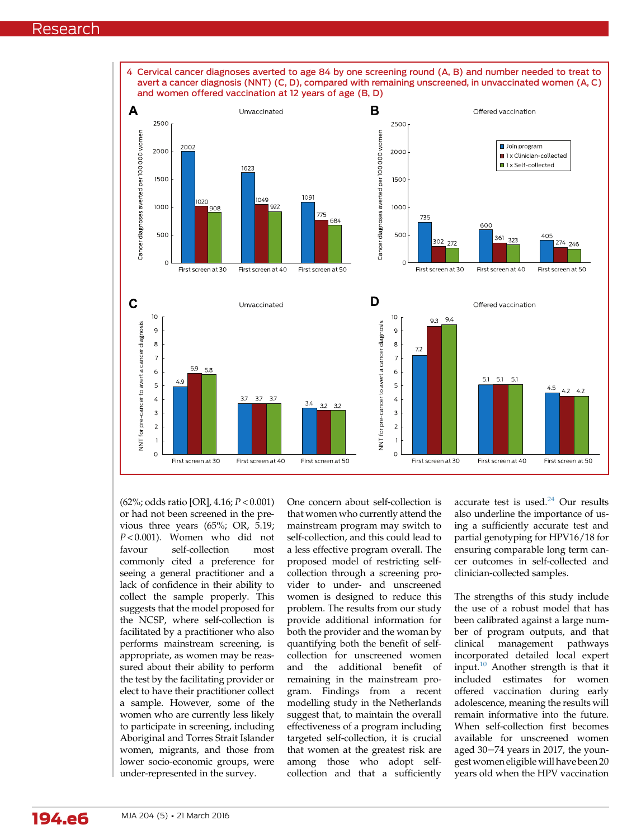<span id="page-5-0"></span>

(62%; odds ratio [OR], 4.16; P < 0.001) or had not been screened in the previous three years (65%; OR, 5.19;  $P < 0.001$ ). Women who did not favour self-collection most commonly cited a preference for seeing a general practitioner and a lack of confidence in their ability to collect the sample properly. This suggests that the model proposed for the NCSP, where self-collection is facilitated by a practitioner who also performs mainstream screening, is appropriate, as women may be reassured about their ability to perform the test by the facilitating provider or elect to have their practitioner collect a sample. However, some of the women who are currently less likely to participate in screening, including Aboriginal and Torres Strait Islander women, migrants, and those from lower socio-economic groups, were under-represented in the survey.

One concern about self-collection is that women who currently attend the mainstream program may switch to self-collection, and this could lead to a less effective program overall. The proposed model of restricting selfcollection through a screening provider to under- and unscreened women is designed to reduce this problem. The results from our study provide additional information for both the provider and the woman by quantifying both the benefit of selfcollection for unscreened women and the additional benefit of remaining in the mainstream program. Findings from a recent modelling study in the Netherlands suggest that, to maintain the overall effectiveness of a program including targeted self-collection, it is crucial that women at the greatest risk are among those who adopt selfcollection and that a sufficiently

accurate test is used. $24$  Our results also underline the importance of using a sufficiently accurate test and partial genotyping for HPV16/18 for ensuring comparable long term cancer outcomes in self-collected and clinician-collected samples.

The strengths of this study include the use of a robust model that has been calibrated against a large number of program outputs, and that clinical management pathways incorporated detailed local expert input. $10$  Another strength is that it included estimates for women offered vaccination during early adolescence, meaning the results will remain informative into the future. When self-collection first becomes available for unscreened women aged 30-74 years in 2017, the youngest women eligible will have been 20 years old when the HPV vaccination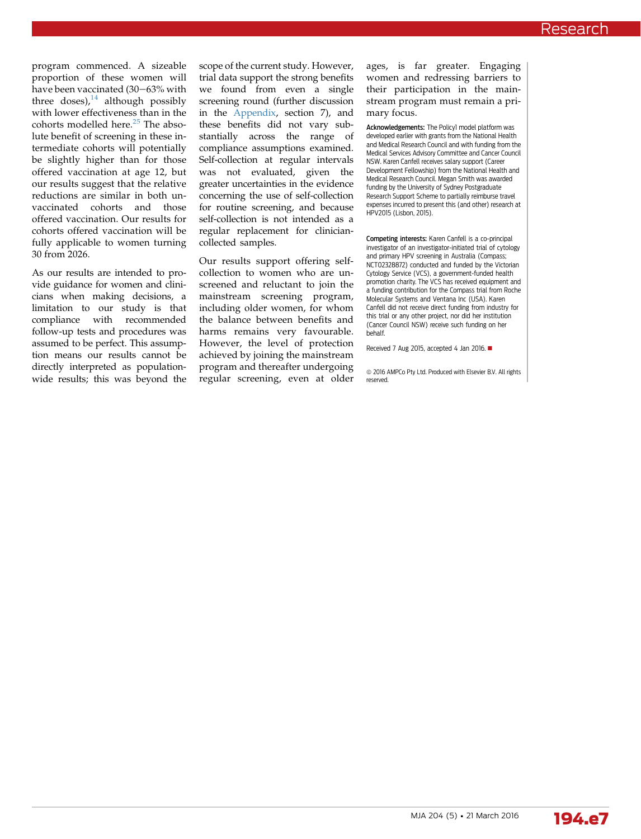program commenced. A sizeable proportion of these women will have been vaccinated (30-63% with three doses), $14$  although possibly with lower effectiveness than in the cohorts modelled here.<sup>[25](#page-8-0)</sup> The absolute benefit of screening in these intermediate cohorts will potentially be slightly higher than for those offered vaccination at age 12, but our results suggest that the relative reductions are similar in both unvaccinated cohorts and those offered vaccination. Our results for cohorts offered vaccination will be fully applicable to women turning 30 from 2026.

As our results are intended to provide guidance for women and clinicians when making decisions, a limitation to our study is that compliance with recommended follow-up tests and procedures was assumed to be perfect. This assumption means our results cannot be directly interpreted as populationwide results; this was beyond the scope of the current study. However, trial data support the strong benefits we found from even a single screening round (further discussion in the [Appendix](https://www.mja.com.au/sites/default/files/issues/204_05/10.5694mja15.00912_Appendix.pdf), section 7), and these benefits did not vary substantially across the range of compliance assumptions examined. Self-collection at regular intervals was not evaluated, given the greater uncertainties in the evidence concerning the use of self-collection for routine screening, and because self-collection is not intended as a regular replacement for cliniciancollected samples.

Our results support offering selfcollection to women who are unscreened and reluctant to join the mainstream screening program, including older women, for whom the balance between benefits and harms remains very favourable. However, the level of protection achieved by joining the mainstream program and thereafter undergoing regular screening, even at older

ages, is far greater. Engaging women and redressing barriers to their participation in the mainstream program must remain a primary focus.

Acknowledgements: The Policy1 model platform was developed earlier with grants from the National Health and Medical Research Council and with funding from the Medical Services Advisory Committee and Cancer Council NSW. Karen Canfell receives salary support (Career Development Fellowship) from the National Health and Medical Research Council. Megan Smith was awarded funding by the University of Sydney Postgraduate Research Support Scheme to partially reimburse travel expenses incurred to present this (and other) research at HPV2015 (Lisbon, 2015).

Competing interests: Karen Canfell is a co-principal investigator of an investigator-initiated trial of cytology and primary HPV screening in Australia (Compass; NCT02328872) conducted and funded by the Victorian Cytology Service (VCS), a government-funded health promotion charity. The VCS has received equipment and a funding contribution for the Compass trial from Roche Molecular Systems and Ventana Inc (USA). Karen Canfell did not receive direct funding from industry for this trial or any other project, nor did her institution (Cancer Council NSW) receive such funding on her behalf.

Received 7 Aug 2015, accepted 4 Jan 2016.  $\blacksquare$ 

 $\odot$  2016 AMPCo Pty Ltd. Produced with Elsevier B.V. All rights reserved.

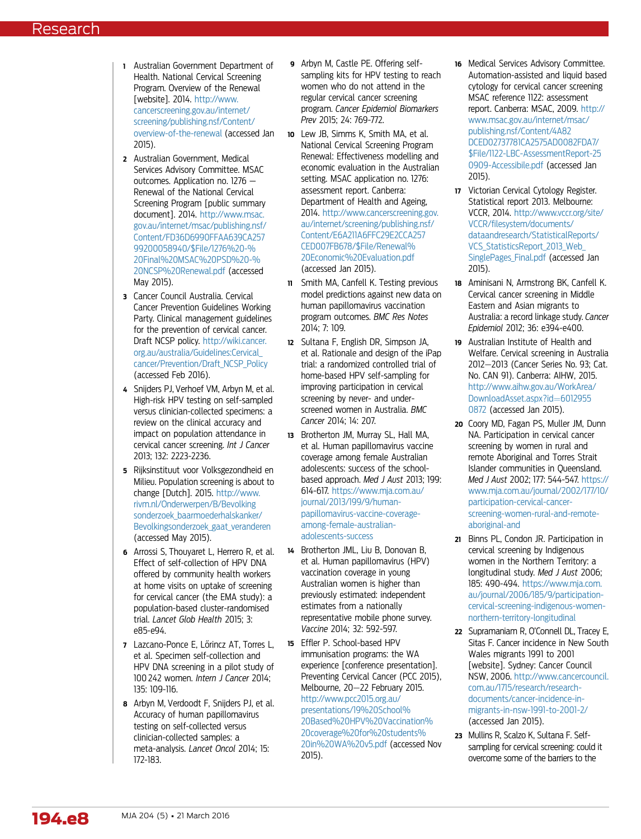- <span id="page-7-0"></span>1 Australian Government Department of Health. National Cervical Screening Program. Overview of the Renewal [website]. 2014. [http://www.](http://www.cancerscreening.gov.au/internet/screening/publishing.nsf/Content/overview-of-the-renewal) [cancerscreening.gov.au/internet/](http://www.cancerscreening.gov.au/internet/screening/publishing.nsf/Content/overview-of-the-renewal) [screening/publishing.nsf/Content/](http://www.cancerscreening.gov.au/internet/screening/publishing.nsf/Content/overview-of-the-renewal) [overview-of-the-renewal](http://www.cancerscreening.gov.au/internet/screening/publishing.nsf/Content/overview-of-the-renewal) (accessed Jan 2015).
- 2 Australian Government, Medical Services Advisory Committee. MSAC outcomes. Application no. 1276 — Renewal of the National Cervical Screening Program [public summary document]. 2014. [http://www.msac.](http://www.msac.gov.au/internet/msac/publishing.nsf/Content/FD36D6990FFAA639CA25799200058940/$File/1276%20-%20Final%20MSAC%20PSD%20-%20NCSP%20Renewal.pdf) [gov.au/internet/msac/publishing.nsf/](http://www.msac.gov.au/internet/msac/publishing.nsf/Content/FD36D6990FFAA639CA25799200058940/$File/1276%20-%20Final%20MSAC%20PSD%20-%20NCSP%20Renewal.pdf) [Content/FD36D6990FFAA639CA257](http://www.msac.gov.au/internet/msac/publishing.nsf/Content/FD36D6990FFAA639CA25799200058940/$File/1276%20-%20Final%20MSAC%20PSD%20-%20NCSP%20Renewal.pdf) [99200058940/\\$File/1276%20-%](http://www.msac.gov.au/internet/msac/publishing.nsf/Content/FD36D6990FFAA639CA25799200058940/$File/1276%20-%20Final%20MSAC%20PSD%20-%20NCSP%20Renewal.pdf) [20Final%20MSAC%20PSD%20-%](http://www.msac.gov.au/internet/msac/publishing.nsf/Content/FD36D6990FFAA639CA25799200058940/$File/1276%20-%20Final%20MSAC%20PSD%20-%20NCSP%20Renewal.pdf) [20NCSP%20Renewal.pdf](http://www.msac.gov.au/internet/msac/publishing.nsf/Content/FD36D6990FFAA639CA25799200058940/$File/1276%20-%20Final%20MSAC%20PSD%20-%20NCSP%20Renewal.pdf) (accessed May 2015).
- 3 Cancer Council Australia. Cervical Cancer Prevention Guidelines Working Party. Clinical management guidelines for the prevention of cervical cancer. Draft NCSP policy. [http://wiki.cancer.](http://wiki.cancer.org.au/australia/Guidelines:Cervical_cancer/Prevention/Draft_NCSP_Policy) [org.au/australia/Guidelines:Cervical\\_](http://wiki.cancer.org.au/australia/Guidelines:Cervical_cancer/Prevention/Draft_NCSP_Policy) [cancer/Prevention/Draft\\_NCSP\\_Policy](http://wiki.cancer.org.au/australia/Guidelines:Cervical_cancer/Prevention/Draft_NCSP_Policy) (accessed Feb 2016).
- 4 Snijders PJ, Verhoef VM, Arbyn M, et al. High-risk HPV testing on self-sampled versus clinician-collected specimens: a review on the clinical accuracy and impact on population attendance in cervical cancer screening. Int J Cancer 2013; 132: 2223-2236.
- 5 Rijksinstituut voor Volksgezondheid en Milieu. Population screening is about to change [Dutch]. 2015. [http://www.](http://www.rivm.nl/Onderwerpen/B/Bevolkingsonderzoek_baarmoederhalskanker/Bevolkingsonderzoek_gaat_veranderen) [rivm.nl/Onderwerpen/B/Bevolking](http://www.rivm.nl/Onderwerpen/B/Bevolkingsonderzoek_baarmoederhalskanker/Bevolkingsonderzoek_gaat_veranderen) [sonderzoek\\_baarmoederhalskanker/](http://www.rivm.nl/Onderwerpen/B/Bevolkingsonderzoek_baarmoederhalskanker/Bevolkingsonderzoek_gaat_veranderen) [Bevolkingsonderzoek\\_gaat\\_veranderen](http://www.rivm.nl/Onderwerpen/B/Bevolkingsonderzoek_baarmoederhalskanker/Bevolkingsonderzoek_gaat_veranderen) (accessed May 2015).
- 6 Arrossi S, Thouyaret L, Herrero R, et al. Effect of self-collection of HPV DNA offered by community health workers at home visits on uptake of screening for cervical cancer (the EMA study): a population-based cluster-randomised trial. Lancet Glob Health 2015; 3: e85-e94.
- 7 Lazcano-Ponce E, Lőrincz AT, Torres L, et al. Specimen self-collection and HPV DNA screening in a pilot study of 100 242 women. Intern J Cancer 2014: 135: 109-116.
- 8 Arbyn M, Verdoodt F, Snijders PJ, et al. Accuracy of human papillomavirus testing on self-collected versus clinician-collected samples: a meta-analysis. Lancet Oncol 2014; 15: 172-183.
- 9 Arbyn M, Castle PE. Offering selfsampling kits for HPV testing to reach women who do not attend in the regular cervical cancer screening program. Cancer Epidemiol Biomarkers Prev 2015; 24: 769-772.
- 10 Lew JB, Simms K, Smith MA, et al. National Cervical Screening Program Renewal: Effectiveness modelling and economic evaluation in the Australian setting. MSAC application no. 1276: assessment report. Canberra: Department of Health and Ageing, 2014. [http://www.cancerscreening.gov.](http://www.cancerscreening.gov.au/internet/screening/publishing.nsf/Content/E6A211A6FFC29E2CCA257CED007FB678/$File/Renewal%20Economic%20Evaluation.pdf) [au/internet/screening/publishing.nsf/](http://www.cancerscreening.gov.au/internet/screening/publishing.nsf/Content/E6A211A6FFC29E2CCA257CED007FB678/$File/Renewal%20Economic%20Evaluation.pdf) [Content/E6A211A6FFC29E2CCA257](http://www.cancerscreening.gov.au/internet/screening/publishing.nsf/Content/E6A211A6FFC29E2CCA257CED007FB678/$File/Renewal%20Economic%20Evaluation.pdf) [CED007FB678/\\$File/Renewal%](http://www.cancerscreening.gov.au/internet/screening/publishing.nsf/Content/E6A211A6FFC29E2CCA257CED007FB678/$File/Renewal%20Economic%20Evaluation.pdf) [20Economic%20Evaluation.pdf](http://www.cancerscreening.gov.au/internet/screening/publishing.nsf/Content/E6A211A6FFC29E2CCA257CED007FB678/$File/Renewal%20Economic%20Evaluation.pdf) (accessed Jan 2015).
- 11 Smith MA, Canfell K. Testing previous model predictions against new data on human papillomavirus vaccination program outcomes. BMC Res Notes 2014; 7: 109.
- 12 Sultana F, English DR, Simpson JA, et al. Rationale and design of the iPap trial: a randomized controlled trial of home-based HPV self-sampling for improving participation in cervical screening by never- and underscreened women in Australia. BMC Cancer 2014; 14: 207.
- 13 Brotherton JM, Murray SL, Hall MA, et al. Human papillomavirus vaccine coverage among female Australian adolescents: success of the schoolbased approach. Med J Aust 2013; 199: 614-617. [https://www.mja.com.au/](https://www.mja.com.au/journal/2013/199/9/human-papillomavirus-vaccine-coverage-among-female-australian-adolescents-success) [journal/2013/199/9/human](https://www.mja.com.au/journal/2013/199/9/human-papillomavirus-vaccine-coverage-among-female-australian-adolescents-success)[papillomavirus-vaccine-coverage](https://www.mja.com.au/journal/2013/199/9/human-papillomavirus-vaccine-coverage-among-female-australian-adolescents-success)[among-female-australian](https://www.mja.com.au/journal/2013/199/9/human-papillomavirus-vaccine-coverage-among-female-australian-adolescents-success)[adolescents-success](https://www.mja.com.au/journal/2013/199/9/human-papillomavirus-vaccine-coverage-among-female-australian-adolescents-success)
- 14 Brotherton JML, Liu B, Donovan B, et al. Human papillomavirus (HPV) vaccination coverage in young Australian women is higher than previously estimated: independent estimates from a nationally representative mobile phone survey. Vaccine 2014; 32: 592-597.
- <sup>15</sup> Effler P. School-based HPV immunisation programs: the WA experience [conference presentation]. Preventing Cervical Cancer (PCC 2015), Melbourne, 20-22 February 2015. [http://www.pcc2015.org.au/](http://www.pcc2015.org.au/presentations/19%20School%20Based%20HPV%20Vaccination%20coverage%20for%20students%20in%20WA%20v5.pdf) [presentations/19%20School%](http://www.pcc2015.org.au/presentations/19%20School%20Based%20HPV%20Vaccination%20coverage%20for%20students%20in%20WA%20v5.pdf) [20Based%20HPV%20Vaccination%](http://www.pcc2015.org.au/presentations/19%20School%20Based%20HPV%20Vaccination%20coverage%20for%20students%20in%20WA%20v5.pdf) [20coverage%20for%20students%](http://www.pcc2015.org.au/presentations/19%20School%20Based%20HPV%20Vaccination%20coverage%20for%20students%20in%20WA%20v5.pdf) [20in%20WA%20v5.pdf](http://www.pcc2015.org.au/presentations/19%20School%20Based%20HPV%20Vaccination%20coverage%20for%20students%20in%20WA%20v5.pdf) (accessed Nov 2015).
- 16 Medical Services Advisory Committee. Automation-assisted and liquid based cytology for cervical cancer screening MSAC reference 1122: assessment report. Canberra: MSAC, 2009. [http://](http://www.msac.gov.au/internet/msac/publishing.nsf/Content/4A82DCED02737781CA2575AD0082FDA7/$File/1122-LBC-AssessmentReport-250909-Accessibile.pdf) [www.msac.gov.au/internet/msac/](http://www.msac.gov.au/internet/msac/publishing.nsf/Content/4A82DCED02737781CA2575AD0082FDA7/$File/1122-LBC-AssessmentReport-250909-Accessibile.pdf) [publishing.nsf/Content/4A82](http://www.msac.gov.au/internet/msac/publishing.nsf/Content/4A82DCED02737781CA2575AD0082FDA7/$File/1122-LBC-AssessmentReport-250909-Accessibile.pdf) [DCED02737781CA2575AD0082FDA7/](http://www.msac.gov.au/internet/msac/publishing.nsf/Content/4A82DCED02737781CA2575AD0082FDA7/$File/1122-LBC-AssessmentReport-250909-Accessibile.pdf) [\\$File/1122-LBC-AssessmentReport-25](http://www.msac.gov.au/internet/msac/publishing.nsf/Content/4A82DCED02737781CA2575AD0082FDA7/$File/1122-LBC-AssessmentReport-250909-Accessibile.pdf) [0909-Accessibile.pdf](http://www.msac.gov.au/internet/msac/publishing.nsf/Content/4A82DCED02737781CA2575AD0082FDA7/$File/1122-LBC-AssessmentReport-250909-Accessibile.pdf) (accessed Jan 2015).
- 17 Victorian Cervical Cytology Register. Statistical report 2013. Melbourne: VCCR, 2014. [http://www.vccr.org/site/](http://www.vccr.org/site/VCCR/filesystem/documents/dataandresearch/StatisticalReports/VCS_StatisticsReport_2013_Web_SinglePages_Final.pdf) VCCR/fi[lesystem/documents/](http://www.vccr.org/site/VCCR/filesystem/documents/dataandresearch/StatisticalReports/VCS_StatisticsReport_2013_Web_SinglePages_Final.pdf) [dataandresearch/StatisticalReports/](http://www.vccr.org/site/VCCR/filesystem/documents/dataandresearch/StatisticalReports/VCS_StatisticsReport_2013_Web_SinglePages_Final.pdf) VCS\_StatisticsReport\_2013\_Web [SinglePages\\_Final.pdf](http://www.vccr.org/site/VCCR/filesystem/documents/dataandresearch/StatisticalReports/VCS_StatisticsReport_2013_Web_SinglePages_Final.pdf) (accessed Jan 2015).
- 18 Aminisani N, Armstrong BK, Canfell K. Cervical cancer screening in Middle Eastern and Asian migrants to Australia: a record linkage study. Cancer Epidemiol 2012; 36: e394-e400.
- 19 Australian Institute of Health and Welfare. Cervical screening in Australia 2012-2013 (Cancer Series No. 93; Cat. No. CAN 91). Canberra: AIHW, 2015. [http://www.aihw.gov.au/WorkArea/](http://www.aihw.gov.au/WorkArea/DownloadAsset.aspx?id=60129550872) [DownloadAsset.aspx?id](http://www.aihw.gov.au/WorkArea/DownloadAsset.aspx?id=60129550872)=[6012955](http://www.aihw.gov.au/WorkArea/DownloadAsset.aspx?id=60129550872) [0872](http://www.aihw.gov.au/WorkArea/DownloadAsset.aspx?id=60129550872) (accessed Jan 2015).
- 20 Coory MD, Fagan PS, Muller JM, Dunn NA. Participation in cervical cancer screening by women in rural and remote Aboriginal and Torres Strait Islander communities in Queensland. Med J Aust 2002; 177: 544-547. [https://](https://www.mja.com.au/journal/2002/177/10/participation-cervical-cancer-screening-women-rural-and-remote-aboriginal-and) [www.mja.com.au/journal/2002/177/10/](https://www.mja.com.au/journal/2002/177/10/participation-cervical-cancer-screening-women-rural-and-remote-aboriginal-and) [participation-cervical-cancer](https://www.mja.com.au/journal/2002/177/10/participation-cervical-cancer-screening-women-rural-and-remote-aboriginal-and)[screening-women-rural-and-remote](https://www.mja.com.au/journal/2002/177/10/participation-cervical-cancer-screening-women-rural-and-remote-aboriginal-and)[aboriginal-and](https://www.mja.com.au/journal/2002/177/10/participation-cervical-cancer-screening-women-rural-and-remote-aboriginal-and)
- 21 Binns PL, Condon JR. Participation in cervical screening by Indigenous women in the Northern Territory: a longitudinal study. Med J Aust 2006; 185: 490-494. [https://www.mja.com.](https://www.mja.com.au/journal/2006/185/9/participation-cervical-screening-indigenous-women-northern-territory-longitudinal) [au/journal/2006/185/9/participation](https://www.mja.com.au/journal/2006/185/9/participation-cervical-screening-indigenous-women-northern-territory-longitudinal)[cervical-screening-indigenous-women](https://www.mja.com.au/journal/2006/185/9/participation-cervical-screening-indigenous-women-northern-territory-longitudinal)[northern-territory-longitudinal](https://www.mja.com.au/journal/2006/185/9/participation-cervical-screening-indigenous-women-northern-territory-longitudinal)
- 22 Supramaniam R, O'Connell DL, Tracey E, Sitas F. Cancer incidence in New South Wales migrants 1991 to 2001 [website]. Sydney: Cancer Council NSW, 2006. [http://www.cancercouncil.](http://www.cancercouncil.com.au/1715/research/research-documents/cancer-incidence-in-migrants-in-nsw-1991-to-2001-2/) [com.au/1715/research/research](http://www.cancercouncil.com.au/1715/research/research-documents/cancer-incidence-in-migrants-in-nsw-1991-to-2001-2/)[documents/cancer-incidence-in](http://www.cancercouncil.com.au/1715/research/research-documents/cancer-incidence-in-migrants-in-nsw-1991-to-2001-2/)[migrants-in-nsw-1991-to-2001-2/](http://www.cancercouncil.com.au/1715/research/research-documents/cancer-incidence-in-migrants-in-nsw-1991-to-2001-2/) (accessed Jan 2015).
- 23 Mullins R, Scalzo K, Sultana F. Selfsampling for cervical screening: could it overcome some of the barriers to the